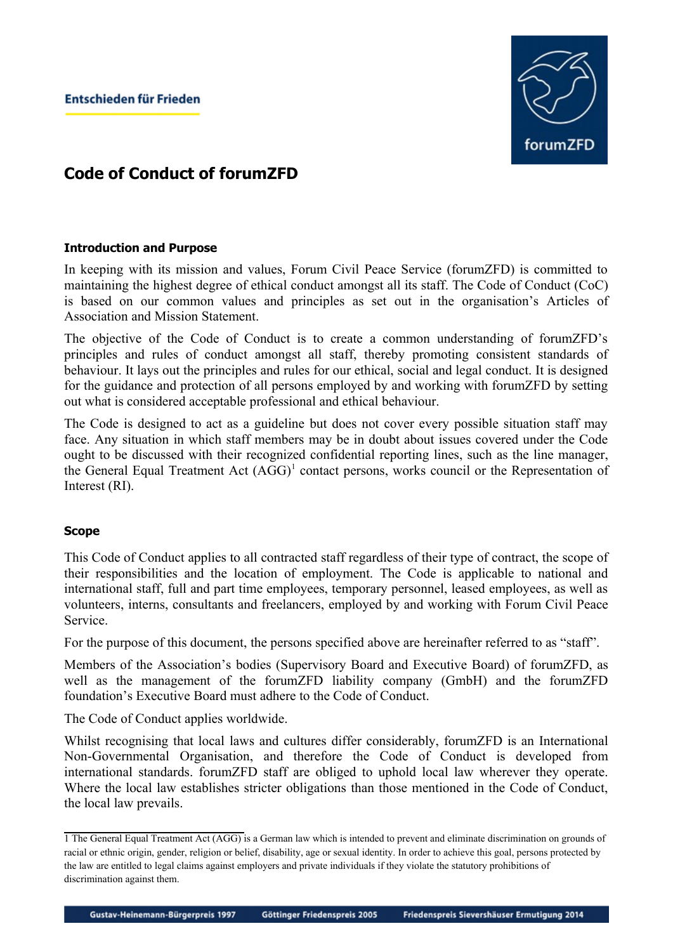

## **Code of Conduct of forumZFD**

## **Introduction and Purpose**

In keeping with its mission and values, Forum Civil Peace Service (forumZFD) is committed to maintaining the highest degree of ethical conduct amongst all its staff. The Code of Conduct (CoC) is based on our common values and principles as set out in the organisation's Articles of Association and Mission Statement.

The objective of the Code of Conduct is to create a common understanding of forumZFD's principles and rules of conduct amongst all staff, thereby promoting consistent standards of behaviour. It lays out the principles and rules for our ethical, social and legal conduct. It is designed for the guidance and protection of all persons employed by and working with forumZFD by setting out what is considered acceptable professional and ethical behaviour.

The Code is designed to act as a guideline but does not cover every possible situation staff may face. Any situation in which staff members may be in doubt about issues covered under the Code ought to be discussed with their recognized confidential reporting lines, such as the line manager, the General Equal Treatment Act (AGG)<sup>[1](#page-0-0)</sup> contact persons, works council or the Representation of Interest (RI).

#### **Scope**

This Code of Conduct applies to all contracted staff regardless of their type of contract, the scope of their responsibilities and the location of employment. The Code is applicable to national and international staff, full and part time employees, temporary personnel, leased employees, as well as volunteers, interns, consultants and freelancers, employed by and working with Forum Civil Peace Service.

For the purpose of this document, the persons specified above are hereinafter referred to as "staff".

Members of the Association's bodies (Supervisory Board and Executive Board) of forumZFD, as well as the management of the forumZFD liability company (GmbH) and the forumZFD foundation's Executive Board must adhere to the Code of Conduct.

The Code of Conduct applies worldwide.

Whilst recognising that local laws and cultures differ considerably, forumZFD is an International Non-Governmental Organisation, and therefore the Code of Conduct is developed from international standards. forumZFD staff are obliged to uphold local law wherever they operate. Where the local law establishes stricter obligations than those mentioned in the Code of Conduct, the local law prevails.

<span id="page-0-0"></span><sup>1</sup> The General Equal Treatment Act (AGG) is a German law which is intended to prevent and eliminate discrimination on grounds of racial or ethnic origin, gender, religion or belief, disability, age or sexual identity. In order to achieve this goal, persons protected by the law are entitled to legal claims against employers and private individuals if they violate the statutory prohibitions of discrimination against them.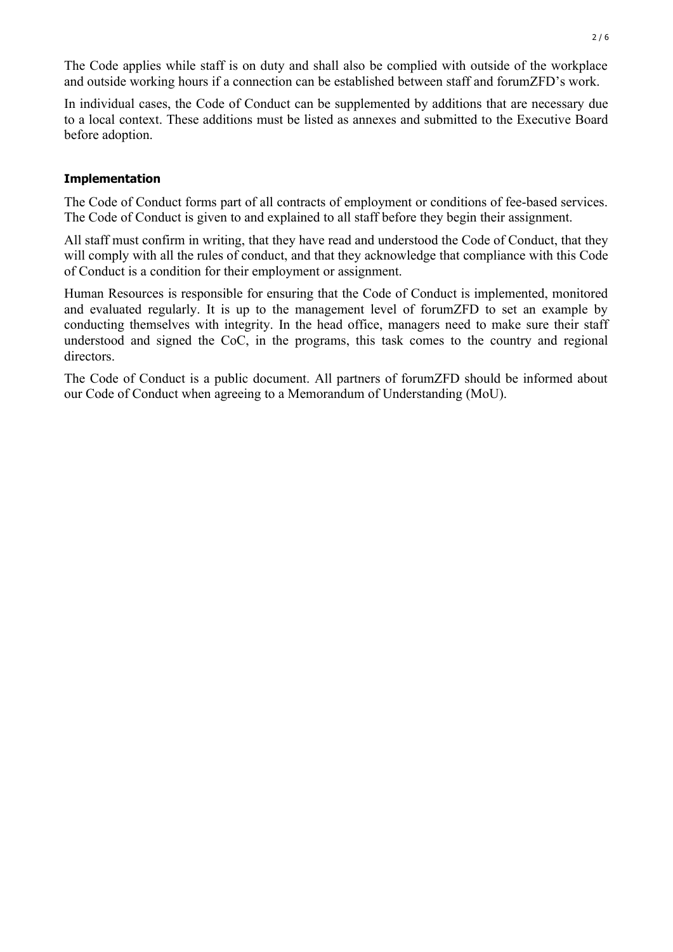The Code applies while staff is on duty and shall also be complied with outside of the workplace and outside working hours if a connection can be established between staff and forumZFD's work.

In individual cases, the Code of Conduct can be supplemented by additions that are necessary due to a local context. These additions must be listed as annexes and submitted to the Executive Board before adoption.

#### **Implementation**

The Code of Conduct forms part of all contracts of employment or conditions of fee-based services. The Code of Conduct is given to and explained to all staff before they begin their assignment.

All staff must confirm in writing, that they have read and understood the Code of Conduct, that they will comply with all the rules of conduct, and that they acknowledge that compliance with this Code of Conduct is a condition for their employment or assignment.

Human Resources is responsible for ensuring that the Code of Conduct is implemented, monitored and evaluated regularly. It is up to the management level of forumZFD to set an example by conducting themselves with integrity. In the head office, managers need to make sure their staff understood and signed the CoC, in the programs, this task comes to the country and regional directors.

The Code of Conduct is a public document. All partners of forumZFD should be informed about our Code of Conduct when agreeing to a Memorandum of Understanding (MoU).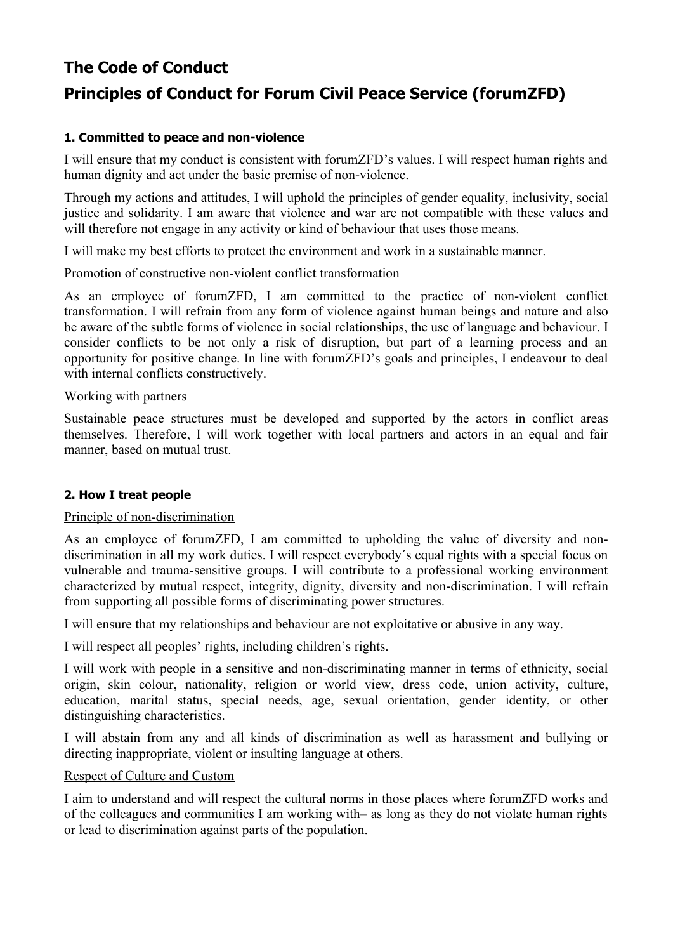# **The Code of Conduct Principles of Conduct for Forum Civil Peace Service (forumZFD)**

## **1. Committed to peace and non-violence**

I will ensure that my conduct is consistent with forumZFD's values. I will respect human rights and human dignity and act under the basic premise of non-violence.

Through my actions and attitudes, I will uphold the principles of gender equality, inclusivity, social justice and solidarity. I am aware that violence and war are not compatible with these values and will therefore not engage in any activity or kind of behaviour that uses those means.

I will make my best efforts to protect the environment and work in a sustainable manner.

## Promotion of constructive non-violent conflict transformation

As an employee of forumZFD, I am committed to the practice of non-violent conflict transformation. I will refrain from any form of violence against human beings and nature and also be aware of the subtle forms of violence in social relationships, the use of language and behaviour. I consider conflicts to be not only a risk of disruption, but part of a learning process and an opportunity for positive change. In line with forumZFD's goals and principles, I endeavour to deal with internal conflicts constructively.

#### Working with partners

Sustainable peace structures must be developed and supported by the actors in conflict areas themselves. Therefore, I will work together with local partners and actors in an equal and fair manner, based on mutual trust.

## **2. How I treat people**

#### Principle of non-discrimination

As an employee of forumZFD, I am committed to upholding the value of diversity and nondiscrimination in all my work duties. I will respect everybody´s equal rights with a special focus on vulnerable and trauma-sensitive groups. I will contribute to a professional working environment characterized by mutual respect, integrity, dignity, diversity and non-discrimination. I will refrain from supporting all possible forms of discriminating power structures.

I will ensure that my relationships and behaviour are not exploitative or abusive in any way.

I will respect all peoples' rights, including children's rights.

I will work with people in a sensitive and non-discriminating manner in terms of ethnicity, social origin, skin colour, nationality, religion or world view, dress code, union activity, culture, education, marital status, special needs, age, sexual orientation, gender identity, or other distinguishing characteristics.

I will abstain from any and all kinds of discrimination as well as harassment and bullying or directing inappropriate, violent or insulting language at others.

## Respect of Culture and Custom

I aim to understand and will respect the cultural norms in those places where forumZFD works and of the colleagues and communities I am working with– as long as they do not violate human rights or lead to discrimination against parts of the population.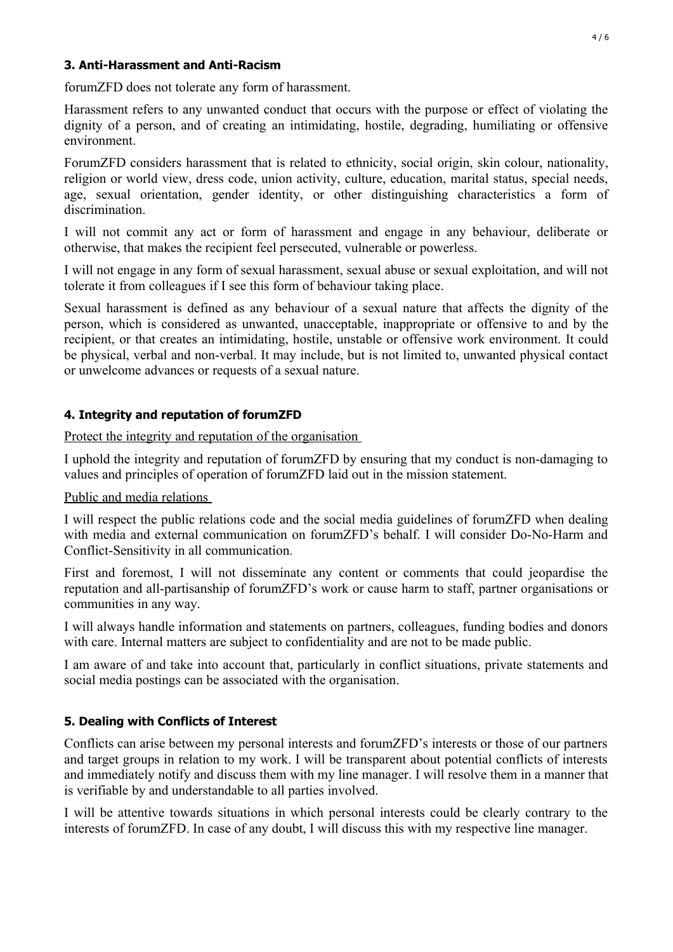## **3. Anti-Harassment and Anti-Racism**

forumZFD does not tolerate any form of harassment.

Harassment refers to any unwanted conduct that occurs with the purpose or effect of violating the dignity of a person, and of creating an intimidating, hostile, degrading, humiliating or offensive environment.

ForumZFD considers harassment that is related to ethnicity, social origin, skin colour, nationality, religion or world view, dress code, union activity, culture, education, marital status, special needs, age, sexual orientation, gender identity, or other distinguishing characteristics a form of discrimination.

I will not commit any act or form of harassment and engage in any behaviour, deliberate or otherwise, that makes the recipient feel persecuted, vulnerable or powerless.

I will not engage in any form of sexual harassment, sexual abuse or sexual exploitation, and will not tolerate it from colleagues if I see this form of behaviour taking place.

Sexual harassment is defined as any behaviour of a sexual nature that affects the dignity of the person, which is considered as unwanted, unacceptable, inappropriate or offensive to and by the recipient, or that creates an intimidating, hostile, unstable or offensive work environment. It could be physical, verbal and non-verbal. It may include, but is not limited to, unwanted physical contact or unwelcome advances or requests of a sexual nature.

## **4. Integrity and reputation of forumZFD**

Protect the integrity and reputation of the organisation

I uphold the integrity and reputation of forumZFD by ensuring that my conduct is non-damaging to values and principles of operation of forumZFD laid out in the mission statement.

Public and media relations

I will respect the public relations code and the social media guidelines of forumZFD when dealing with media and external communication on forumZFD's behalf. I will consider Do-No-Harm and Conflict-Sensitivity in all communication*.*

First and foremost, I will not disseminate any content or comments that could jeopardise the reputation and all-partisanship of forumZFD's work or cause harm to staff, partner organisations or communities in any way.

I will always handle information and statements on partners, colleagues, funding bodies and donors with care. Internal matters are subject to confidentiality and are not to be made public.

I am aware of and take into account that, particularly in conflict situations, private statements and social media postings can be associated with the organisation.

## **5. Dealing with Conflicts of Interest**

Conflicts can arise between my personal interests and forumZFD's interests or those of our partners and target groups in relation to my work. I will be transparent about potential conflicts of interests and immediately notify and discuss them with my line manager. I will resolve them in a manner that is verifiable by and understandable to all parties involved.

I will be attentive towards situations in which personal interests could be clearly contrary to the interests of forumZFD. In case of any doubt, I will discuss this with my respective line manager.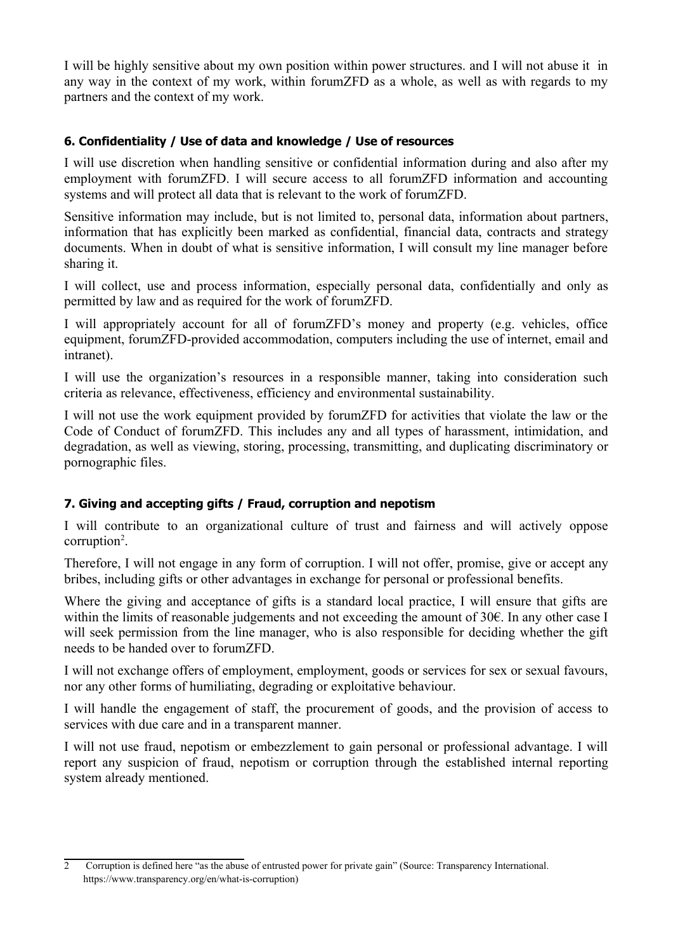I will be highly sensitive about my own position within power structures. and I will not abuse it in any way in the context of my work, within forumZFD as a whole, as well as with regards to my partners and the context of my work.

## **6. Confidentiality / Use of data and knowledge / Use of resources**

I will use discretion when handling sensitive or confidential information during and also after my employment with forumZFD. I will secure access to all forumZFD information and accounting systems and will protect all data that is relevant to the work of forumZFD.

Sensitive information may include, but is not limited to, personal data, information about partners, information that has explicitly been marked as confidential, financial data, contracts and strategy documents. When in doubt of what is sensitive information, I will consult my line manager before sharing it.

I will collect, use and process information, especially personal data, confidentially and only as permitted by law and as required for the work of forumZFD.

I will appropriately account for all of forumZFD's money and property (e.g. vehicles, office equipment, forumZFD-provided accommodation, computers including the use of internet, email and intranet).

I will use the organization's resources in a responsible manner, taking into consideration such criteria as relevance, effectiveness, efficiency and environmental sustainability.

I will not use the work equipment provided by forumZFD for activities that violate the law or the Code of Conduct of forumZFD. This includes any and all types of harassment, intimidation, and degradation, as well as viewing, storing, processing, transmitting, and duplicating discriminatory or pornographic files.

## **7. Giving and accepting gifts / Fraud, corruption and nepotism**

I will contribute to an organizational culture of trust and fairness and will actively oppose  $corruption<sup>2</sup>$  $corruption<sup>2</sup>$  $corruption<sup>2</sup>$ .

Therefore, I will not engage in any form of corruption. I will not offer, promise, give or accept any bribes, including gifts or other advantages in exchange for personal or professional benefits.

Where the giving and acceptance of gifts is a standard local practice, I will ensure that gifts are within the limits of reasonable judgements and not exceeding the amount of 30€. In any other case I will seek permission from the line manager, who is also responsible for deciding whether the gift needs to be handed over to forumZFD.

I will not exchange offers of employment, employment, goods or services for sex or sexual favours, nor any other forms of humiliating, degrading or exploitative behaviour.

I will handle the engagement of staff, the procurement of goods, and the provision of access to services with due care and in a transparent manner.

I will not use fraud, nepotism or embezzlement to gain personal or professional advantage. I will report any suspicion of fraud, nepotism or corruption through the established internal reporting system already mentioned.

<span id="page-4-0"></span><sup>2</sup> Corruption is defined here "as the abuse of entrusted power for private gain" (Source: Transparency International. https://www.transparency.org/en/what-is-corruption)